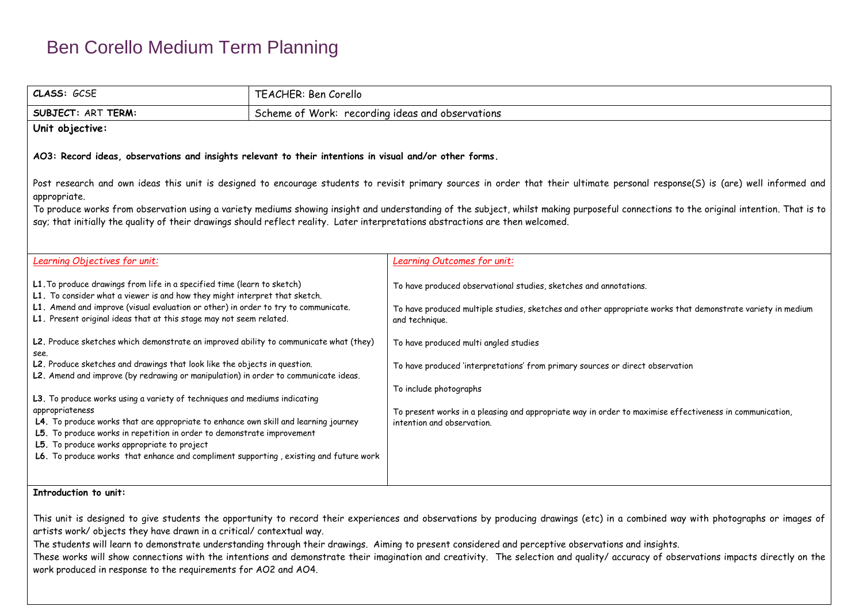| CLASS: GCSE                                                                                                                                                                                                                                                                                                                                                                                           | TEACHER: Ben Corello                             |                                                                                                                                                                                                   |  |  |  |  |
|-------------------------------------------------------------------------------------------------------------------------------------------------------------------------------------------------------------------------------------------------------------------------------------------------------------------------------------------------------------------------------------------------------|--------------------------------------------------|---------------------------------------------------------------------------------------------------------------------------------------------------------------------------------------------------|--|--|--|--|
| SUBJECT: ART TERM:                                                                                                                                                                                                                                                                                                                                                                                    | Scheme of Work: recording ideas and observations |                                                                                                                                                                                                   |  |  |  |  |
| Unit objective:                                                                                                                                                                                                                                                                                                                                                                                       |                                                  |                                                                                                                                                                                                   |  |  |  |  |
| AO3: Record ideas, observations and insights relevant to their intentions in visual and/or other forms.                                                                                                                                                                                                                                                                                               |                                                  |                                                                                                                                                                                                   |  |  |  |  |
|                                                                                                                                                                                                                                                                                                                                                                                                       |                                                  | Post research and own ideas this unit is designed to encourage students to revisit primary sources in order that their ultimate personal response(S) is (are) well informed and                   |  |  |  |  |
| appropriate.                                                                                                                                                                                                                                                                                                                                                                                          |                                                  |                                                                                                                                                                                                   |  |  |  |  |
|                                                                                                                                                                                                                                                                                                                                                                                                       |                                                  | To produce works from observation using a variety mediums showing insight and understanding of the subject, whilst making purposeful connections to the original intention. That is to            |  |  |  |  |
| say; that initially the quality of their drawings should reflect reality. Later interpretations abstractions are then welcomed.                                                                                                                                                                                                                                                                       |                                                  |                                                                                                                                                                                                   |  |  |  |  |
|                                                                                                                                                                                                                                                                                                                                                                                                       |                                                  |                                                                                                                                                                                                   |  |  |  |  |
| Learning Objectives for unit:                                                                                                                                                                                                                                                                                                                                                                         |                                                  | Learning Outcomes for unit:                                                                                                                                                                       |  |  |  |  |
| L1. To produce drawings from life in a specified time (learn to sketch)<br>L1. To consider what a viewer is and how they might interpret that sketch.<br>L1. Amend and improve (visual evaluation or other) in order to try to communicate.<br>L1. Present original ideas that at this stage may not seem related.                                                                                    |                                                  | To have produced observational studies, sketches and annotations.<br>To have produced multiple studies, sketches and other appropriate works that demonstrate variety in medium<br>and technique. |  |  |  |  |
| L2. Produce sketches which demonstrate an improved ability to communicate what (they)<br>see.                                                                                                                                                                                                                                                                                                         |                                                  | To have produced multi angled studies                                                                                                                                                             |  |  |  |  |
| L2. Produce sketches and drawings that look like the objects in question.<br>L2. Amend and improve (by redrawing or manipulation) in order to communicate ideas.                                                                                                                                                                                                                                      |                                                  | To have produced 'interpretations' from primary sources or direct observation                                                                                                                     |  |  |  |  |
|                                                                                                                                                                                                                                                                                                                                                                                                       |                                                  | To include photographs                                                                                                                                                                            |  |  |  |  |
| L3. To produce works using a variety of techniques and mediums indicating<br>appropriateness<br>L4. To produce works that are appropriate to enhance own skill and learning journey<br>L5. To produce works in repetition in order to demonstrate improvement<br>L5. To produce works appropriate to project<br>L6. To produce works that enhance and compliment supporting, existing and future work |                                                  | To present works in a pleasing and appropriate way in order to maximise effectiveness in communication,<br>intention and observation.                                                             |  |  |  |  |
| Introduction to unit:                                                                                                                                                                                                                                                                                                                                                                                 |                                                  |                                                                                                                                                                                                   |  |  |  |  |

This unit is designed to give students the opportunity to record their experiences and observations by producing drawings (etc) in a combined way with photographs or images of artists work/ objects they have drawn in a critical/ contextual way.

The students will learn to demonstrate understanding through their drawings. Aiming to present considered and perceptive observations and insights. These works will show connections with the intentions and demonstrate their imagination and creativity. The selection and quality/ accuracy of observations impacts directly on the work produced in response to the requirements for AO2 and AO4.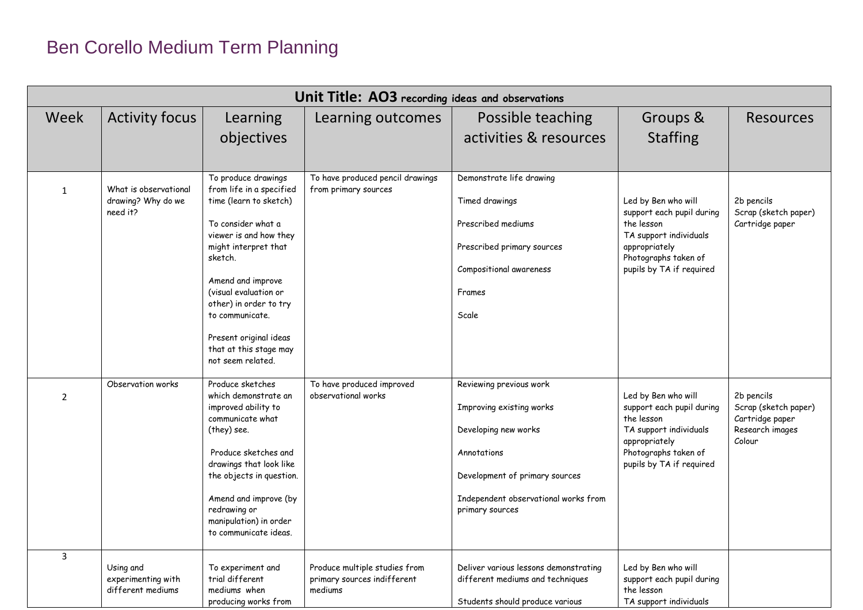| Unit Title: AO3 recording ideas and observations |                                                         |                                                                                                                                                                                                                                                                                                                                  |                                                                         |                                                                                                                                                                                         |                                                                                                                                                               |                                                                                    |
|--------------------------------------------------|---------------------------------------------------------|----------------------------------------------------------------------------------------------------------------------------------------------------------------------------------------------------------------------------------------------------------------------------------------------------------------------------------|-------------------------------------------------------------------------|-----------------------------------------------------------------------------------------------------------------------------------------------------------------------------------------|---------------------------------------------------------------------------------------------------------------------------------------------------------------|------------------------------------------------------------------------------------|
| Week                                             | <b>Activity focus</b>                                   | Learning<br>objectives                                                                                                                                                                                                                                                                                                           | Learning outcomes                                                       | Possible teaching<br>activities & resources                                                                                                                                             | Groups &<br><b>Staffing</b>                                                                                                                                   | <b>Resources</b>                                                                   |
| $\mathbf{1}$                                     | What is observational<br>drawing? Why do we<br>need it? | To produce drawings<br>from life in a specified<br>time (learn to sketch)<br>To consider what a<br>viewer is and how they<br>might interpret that<br>sketch.<br>Amend and improve<br>(visual evaluation or<br>other) in order to try<br>to communicate.<br>Present original ideas<br>that at this stage may<br>not seem related. | To have produced pencil drawings<br>from primary sources                | Demonstrate life drawing<br>Timed drawings<br>Prescribed mediums<br>Prescribed primary sources<br>Compositional awareness<br>Frames<br>Scale                                            | Led by Ben who will<br>support each pupil during<br>the lesson<br>TA support individuals<br>appropriately<br>Photographs taken of<br>pupils by TA if required | 2b pencils<br>Scrap (sketch paper)<br>Cartridge paper                              |
| 2                                                | Observation works                                       | Produce sketches<br>which demonstrate an<br>improved ability to<br>communicate what<br>(they) see.<br>Produce sketches and<br>drawings that look like<br>the objects in question.<br>Amend and improve (by<br>redrawing or<br>manipulation) in order<br>to communicate ideas.                                                    | To have produced improved<br>observational works                        | Reviewing previous work<br>Improving existing works<br>Developing new works<br>Annotations<br>Development of primary sources<br>Independent observational works from<br>primary sources | Led by Ben who will<br>support each pupil during<br>the lesson<br>TA support individuals<br>appropriately<br>Photographs taken of<br>pupils by TA if required | 2b pencils<br>Scrap (sketch paper)<br>Cartridge paper<br>Research images<br>Colour |
| $\overline{3}$                                   | Using and<br>experimenting with<br>different mediums    | To experiment and<br>trial different<br>mediums when<br>producing works from                                                                                                                                                                                                                                                     | Produce multiple studies from<br>primary sources indifferent<br>mediums | Deliver various lessons demonstrating<br>different mediums and techniques<br>Students should produce various                                                                            | Led by Ben who will<br>support each pupil during<br>the lesson<br>TA support individuals                                                                      |                                                                                    |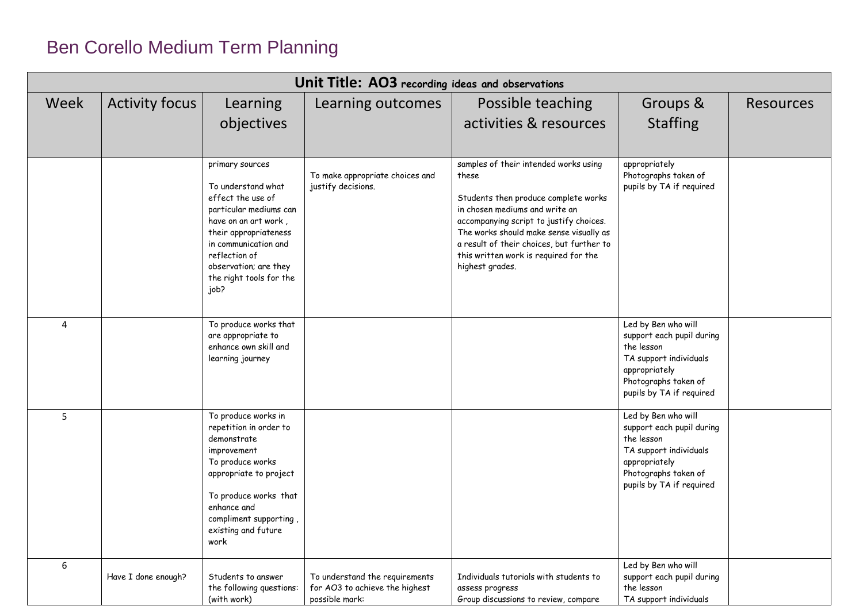| Unit Title: AO3 recording ideas and observations |                       |                                                                                                                                                                                                                                            |                                                                                    |                                                                                                                                                                                                                                                                                                                         |                                                                                                                                                               |                  |
|--------------------------------------------------|-----------------------|--------------------------------------------------------------------------------------------------------------------------------------------------------------------------------------------------------------------------------------------|------------------------------------------------------------------------------------|-------------------------------------------------------------------------------------------------------------------------------------------------------------------------------------------------------------------------------------------------------------------------------------------------------------------------|---------------------------------------------------------------------------------------------------------------------------------------------------------------|------------------|
| Week                                             | <b>Activity focus</b> | Learning<br>objectives                                                                                                                                                                                                                     | Learning outcomes                                                                  | Possible teaching<br>activities & resources                                                                                                                                                                                                                                                                             | Groups &<br><b>Staffing</b>                                                                                                                                   | <b>Resources</b> |
|                                                  |                       | primary sources<br>To understand what<br>effect the use of<br>particular mediums can<br>have on an art work,<br>their appropriateness<br>in communication and<br>reflection of<br>observation; are they<br>the right tools for the<br>job? | To make appropriate choices and<br>justify decisions.                              | samples of their intended works using<br>these<br>Students then produce complete works<br>in chosen mediums and write an<br>accompanying script to justify choices.<br>The works should make sense visually as<br>a result of their choices, but further to<br>this written work is required for the<br>highest grades. | appropriately<br>Photographs taken of<br>pupils by TA if required                                                                                             |                  |
| 4                                                |                       | To produce works that<br>are appropriate to<br>enhance own skill and<br>learning journey                                                                                                                                                   |                                                                                    |                                                                                                                                                                                                                                                                                                                         | Led by Ben who will<br>support each pupil during<br>the lesson<br>TA support individuals<br>appropriately<br>Photographs taken of<br>pupils by TA if required |                  |
| 5                                                |                       | To produce works in<br>repetition in order to<br>demonstrate<br>improvement<br>To produce works<br>appropriate to project<br>To produce works that<br>enhance and<br>compliment supporting,<br>existing and future<br>work                 |                                                                                    |                                                                                                                                                                                                                                                                                                                         | Led by Ben who will<br>support each pupil during<br>the lesson<br>TA support individuals<br>appropriately<br>Photographs taken of<br>pupils by TA if required |                  |
| 6                                                | Have I done enough?   | Students to answer<br>the following questions:<br>(with work)                                                                                                                                                                              | To understand the requirements<br>for AO3 to achieve the highest<br>possible mark: | Individuals tutorials with students to<br>assess progress<br>Group discussions to review, compare                                                                                                                                                                                                                       | Led by Ben who will<br>support each pupil during<br>the lesson<br>TA support individuals                                                                      |                  |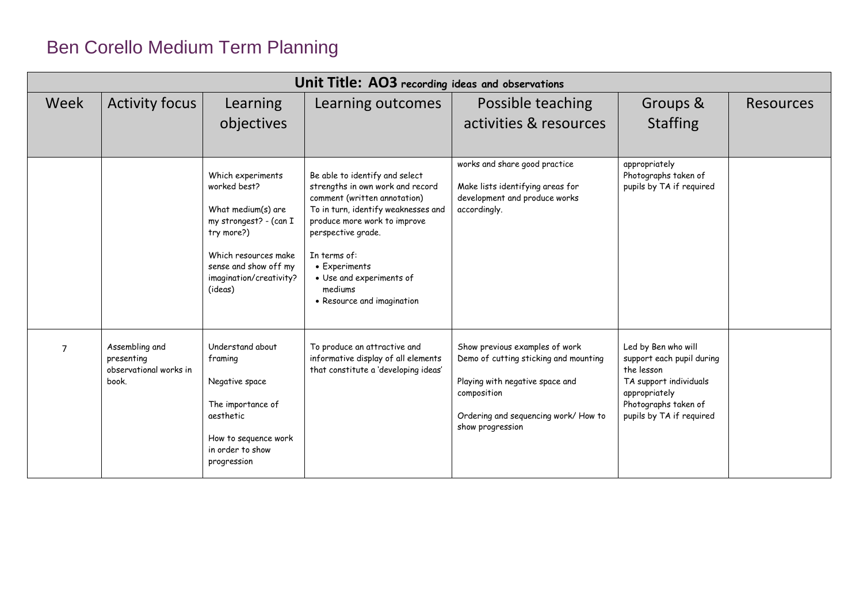| Unit Title: AO3 recording ideas and observations |                                                                 |                                                                                                                                                                                        |                                                                                                                                                                                                                                                                                                       |                                                                                                                                                                                       |                                                                                                                                                               |                  |
|--------------------------------------------------|-----------------------------------------------------------------|----------------------------------------------------------------------------------------------------------------------------------------------------------------------------------------|-------------------------------------------------------------------------------------------------------------------------------------------------------------------------------------------------------------------------------------------------------------------------------------------------------|---------------------------------------------------------------------------------------------------------------------------------------------------------------------------------------|---------------------------------------------------------------------------------------------------------------------------------------------------------------|------------------|
| Week                                             | <b>Activity focus</b>                                           | Learning<br>objectives                                                                                                                                                                 | Learning outcomes                                                                                                                                                                                                                                                                                     | Possible teaching<br>activities & resources                                                                                                                                           | Groups &<br><b>Staffing</b>                                                                                                                                   | <b>Resources</b> |
|                                                  |                                                                 | Which experiments<br>worked best?<br>What medium(s) are<br>my strongest? - (can I<br>try more?)<br>Which resources make<br>sense and show off my<br>imagination/creativity?<br>(ideas) | Be able to identify and select<br>strengths in own work and record<br>comment (written annotation)<br>To in turn, identify weaknesses and<br>produce more work to improve<br>perspective grade.<br>In terms of:<br>• Experiments<br>• Use and experiments of<br>mediums<br>• Resource and imagination | works and share good practice<br>Make lists identifying areas for<br>development and produce works<br>accordingly.                                                                    | appropriately<br>Photographs taken of<br>pupils by TA if required                                                                                             |                  |
| $\overline{7}$                                   | Assembling and<br>presenting<br>observational works in<br>book. | Understand about<br>framing<br>Negative space<br>The importance of<br>aesthetic<br>How to sequence work<br>in order to show<br>progression                                             | To produce an attractive and<br>informative display of all elements<br>that constitute a 'developing ideas'                                                                                                                                                                                           | Show previous examples of work<br>Demo of cutting sticking and mounting<br>Playing with negative space and<br>composition<br>Ordering and sequencing work/ How to<br>show progression | Led by Ben who will<br>support each pupil during<br>the lesson<br>TA support individuals<br>appropriately<br>Photographs taken of<br>pupils by TA if required |                  |